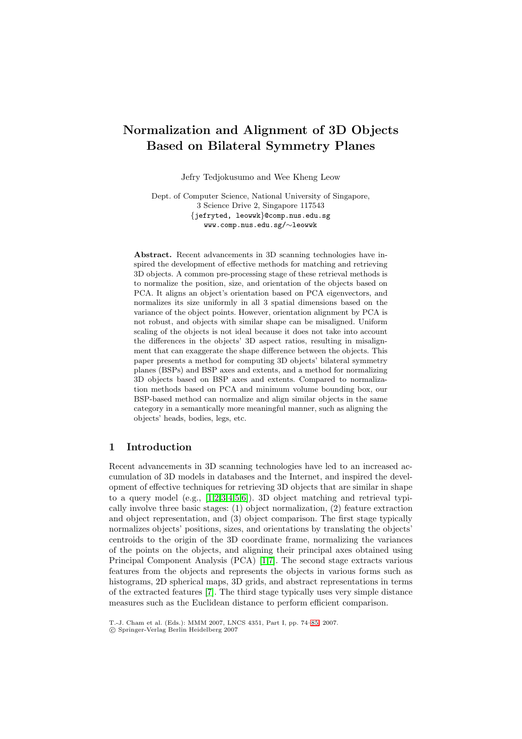# **Normalization and Alignment of 3D Objects Based on Bilateral Symmetry Planes**

Jefry Tedjokusumo and Wee Kheng Leow

Dept. of Computer Science, National University of Singapore, 3 Science Drive 2, Singapore 117543 {jefryted, leowwk}@comp.nus.edu.sg www.comp.nus.edu.sg/∼leowwk

**Abstract.** Recent advancements in 3D scanning technologies have inspired the development of effective methods for matching and retrieving 3D objects. A common pre-processing stage of these retrieval methods is to normalize the position, size, and orientation of the objects based on PCA. It aligns an object's orientation based on PCA eigenvectors, and normalizes its size uniformly in all 3 spatial dimensions based on the variance of the object points. However, orientation alignment by PCA is not robust, and objects with similar shape can be misaligned. Uniform scaling of the objects is not ideal because it does not take into account the differences in the objects' 3D aspect ratios, resulting in misalignment that can exaggerate the shape difference between the objects. This paper presents a method for computing 3D objects' bilateral symmetry planes (BSPs) and BSP axes and extents, and a method for normalizing 3D objects based on BSP axes and extents. Compared to normalization methods based on PCA and minimum volume bounding box, our BSP-based method can normalize and align similar objects in the same category in a semantically more meaningful manner, such as aligning the objects' heads, bodies, legs, etc.

## **1 Introduction**

<span id="page-0-0"></span>Recent advancements in 3D scanning technologies have led to an increased accumulation of 3D models in databases and the Internet, and inspired the development of effective techniques for retrieving 3D objects that are similar in shape to a query model (e.g., [1,2,3,4,5,6]). 3D object matching and retrieval typically involve three basic stages: (1) object normalization, (2) feature extraction and object representation, and (3) object comparison. The first stage typically normalizes objects' positions, sizes, and orientations by translating the objects' centroids to the origin o[f t](#page-10-0)[h](#page-10-1)[e](#page-10-2) [3](#page-10-3)[D](#page-10-4) [co](#page-10-5)ordinate frame, normalizing the variances of the points on the objects, and aligning their principal axes obtained using Principal Component Analysis (PCA) [1,7]. The second stage extracts various features from the objects and represents the objects in various forms such as histograms, 2D spherical maps, 3D grids, and abstract representations in terms of the extracted features [7]. The third stage typically uses very simple distance measures such as the Euclidean distanc[e](#page-10-0) [to](#page-10-6) perform efficient comparison.

T.-J. Cham et al. (Eds.): MMM 2007, LNCS 4351, Part I, pp. 74–85, 2007.

<sup>-</sup>c Springer-Verlag Berlin Heid[elb](#page-10-6)erg 2007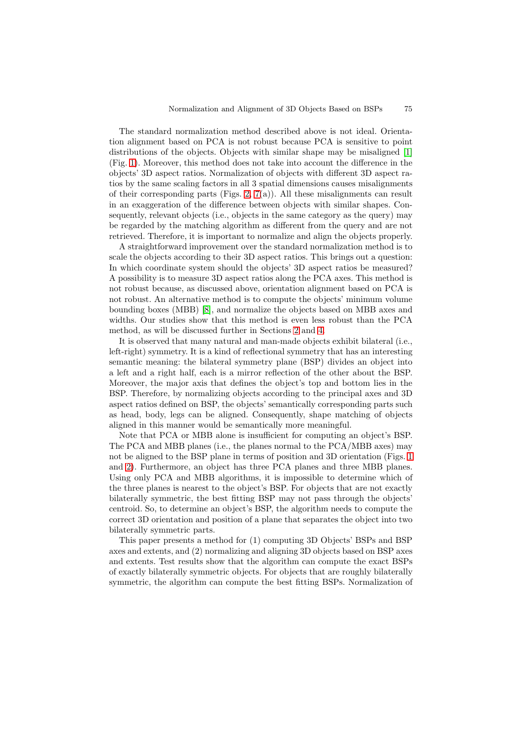The standard normalization method described above is not ideal. Orientation alignment based on PCA is not robust because PCA is sensitive to point distributions of the objects. Objects with similar shape may be misaligned [1] (Fig. 1). Moreover, this method does not take into account the difference in the objects' 3D aspect ratios. Normalization of objects with different 3D aspect ratios by the same scaling factors in all 3 spatial dimensions causes misalignments of their corresponding parts (Figs. 2,  $7(a)$ ). All these misalignments can res[ult](#page-10-0) in a[n e](#page-3-0)xaggeration of the difference between objects with similar shapes. Consequently, relevant objects (i.e., objects in the same category as the query) may be regarded by the matching algorithm as different from the query and are not retrieved. Therefore, it is importan[t t](#page-3-1)[o n](#page-9-0)ormalize and align the objects properly.

A straightforward improvement over the standard normalization method is to scale the objects according to their 3D aspect ratios. This brings out a question: In which coordinate system should the objects' 3D aspect ratios be measured? A possibility is to measure 3D aspect ratios along the PCA axes. This method is not robust because, as discussed above, orientation alignment based on PCA is not robust. An alternative method is to compute the objects' minimum volume bounding boxes (MBB) [8], and normalize the objects based on MBB axes and widths. Our studies show that this method is even less robust than the PCA method, as will be discussed further in Sections 2 and 4.

It is observed that many natural and man-made objects exhibit bilateral (i.e., left-right) symmetry. It i[s a](#page-11-0) kind of reflectional symmetry that has an interesting semantic meaning: the bilateral symmetry plane (BSP) divides an object into a left and a right half, each is a mirror reflecti[on](#page-2-0) of t[he](#page-6-0) other about the BSP. Moreover, the major axis that defines the object's top and bottom lies in the BSP. Therefore, by normalizing objects according to the principal axes and 3D aspect ratios defined on BSP, the objects' semantically corresponding parts such as head, body, legs can be aligned. Consequently, shape matching of objects aligned in this manner would be semantically more meaningful.

Note that PCA or MBB alone is insufficient for computing an object's BSP. The PCA and MBB planes (i.e., the planes normal to the PCA/MBB axes) may not be aligned to the BSP plane in terms of position and 3D orientation (Figs. 1 and 2). Furthermore, an object has three PCA planes and three MBB planes. Using only PCA and MBB algorithms, it is impossible to determine which of the three planes is nearest to the object's BSP. For objects that are not exactly bilaterally symmetric, the best fitting BSP may not pass through the object[s'](#page-3-0) cent[ro](#page-3-1)id. So, to determine an object's BSP, the algorithm needs to compute the correct 3D orientation and position of a plane that separates the object into two bilaterally symmetric parts.

This paper presents a method for (1) computing 3D Objects' BSPs and BSP axes and extents, and (2) normalizing and aligning 3D objects based on BSP axes and extents. Test results show that the algorithm can compute the exact BSPs of exactly bilaterally symmetric objects. For objects that are roughly bilaterally symmetric, the algorithm can compute the best fitting BSPs. Normalization of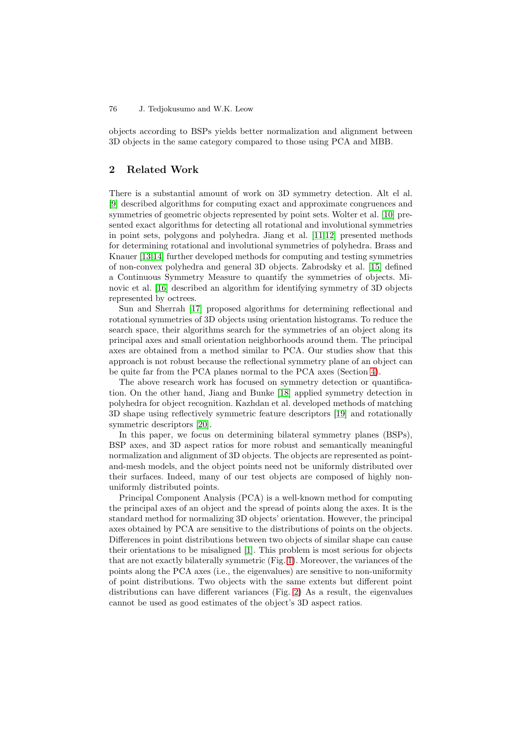#### 76 J. Tedjokusumo and W.K. Leow

objects according to BSPs yields better normalization and alignment between 3D objects in the same category compared to those using PCA and MBB.

# **2 Related Work**

<span id="page-2-0"></span>There is a substantial amount of work on 3D symmetry detection. Alt el al. [9] described algorithms for computing exact and approximate congruences and symmetries of geometric objects represented by point sets. Wolter et al. [10] presented exact algorithms for detecting all rotational and involutional symmetries in point sets, polygons and polyhedra. Jiang et al. [11,12] presented methods [for](#page-11-1) determining rotational and involutional symmetries of polyhedra. Brass and Knauer [13,14] further developed methods for computing and testing sy[mme](#page-11-2)tries of non-convex polyhedra and general 3D objects. Zabrodsky et al. [15] defined a Continuous Symmetry Measure to quantify the s[ym](#page-11-3)[met](#page-11-4)ries of objects. Minovic et al. [16] described an algorithm for identifying symmetry of 3D objects represen[ted](#page-11-5) [by](#page-11-6) octrees.

Sun and Sherrah [17] proposed algorithms for determining refle[ctio](#page-11-7)nal and rotational symmetries of 3D objects using orientation histograms. To reduce the search spac[e, th](#page-11-8)eir algorithms search for the symmetries of an object along its principal axes and small orientation neighborhoods around them. The principal axes are obtained fr[om](#page-11-9) a method similar to PCA. Our studies show that this approach is not robust because the reflectional symmetry plane of an object can be quite far from the PCA planes normal to the PCA axes (Section 4).

The above research work has focused on symmetry detection or quantification. On the other hand, Jiang and Bunke [18] applied symmetry detection in polyhedra for object recognition. Kazhdan et al. developed methods of matching 3D shape using reflectively symmetric feature descriptors [19] and [rot](#page-6-0)ationally symmetric descriptors [20].

In this paper, we focus on determining [bila](#page-11-10)teral symmetry planes (BSPs), BSP axes, and 3D aspect ratios for more robust and semantically meaningful normalization and alignment of 3D objects. The objects are [rep](#page-11-11)resented as pointand-mesh models, and [the](#page-11-12) object points need not be uniformly distributed over their surfaces. Indeed, many of our test objects are composed of highly nonuniformly distributed points.

Principal Component Analysis (PCA) is a well-known method for computing the principal axes of an object and the spread of points along the axes. It is the standard method for normalizing 3D objects' orientation. However, the principal axes obtained by PCA are sensitive to the distributions of points on the objects. Differences in point distributions between two objects of similar shape can cause their orientations to be misaligned [1]. This problem is most serious for objects that are not exactly bilaterally symmetric (Fig. 1). Moreover, the variances of the points along the PCA axes (i.e., the eigenvalues) are sensitive to non-uniformity of point distributions. Two objects with the same extents but different point distributions can have different var[ia](#page-10-0)nces (Fig. 2) As a result, the eigenvalues cannot be used as good estimates of the objec[t's](#page-3-0) 3D aspect ratios.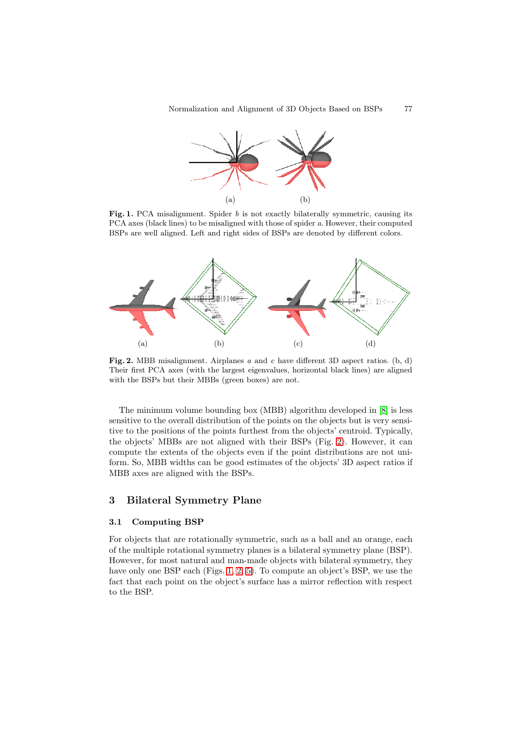

Fig. 1. PCA misalignment. Spider b is not exactly bilaterally symmetric, causing its PCA axes (black lines) to be misaligned with those of spider a. However, their computed BSPs are well aligned. Left and right sides of BSPs are denoted by different colors.

<span id="page-3-0"></span>

**Fig. 2.** MBB misalignment. Airplanes a and c have different 3D aspect ratios. (b, d) Their first PCA axes (with the largest eigenvalues, horizontal black lines) are aligned with the BSPs but their MBBs (green boxes) are not.

<span id="page-3-1"></span>The minimum volume bounding box (MBB) algorithm developed in [8] is less sensitive to the overall distribution of the points on the objects but is very sensitive to the positions of the points furthest from the objects' centroid. Typically, the objects' MBBs are not aligned with their BSPs (Fig. 2). However, it can compute the extents of the objects even if the point distributions are [no](#page-11-0)t uniform. So, MBB widths can be good estimates of the objects' 3D aspect ratios if MBB axes are aligned with the BSPs.

## **3 Bilateral Symmetry Plane**

## **3.1 Computing BSP**

For objects that are rotationally symmetric, such as a ball and an orange, each of the multiple rotational symmetry planes is a bilateral symmetry plane (BSP). However, for most natural and man-made objects with bilateral symmetry, they have only one BSP each (Figs. 1, 2, 5). To compute an object's BSP, we use the fact that each point on the object's surface has a mirror reflection with respect to the BSP.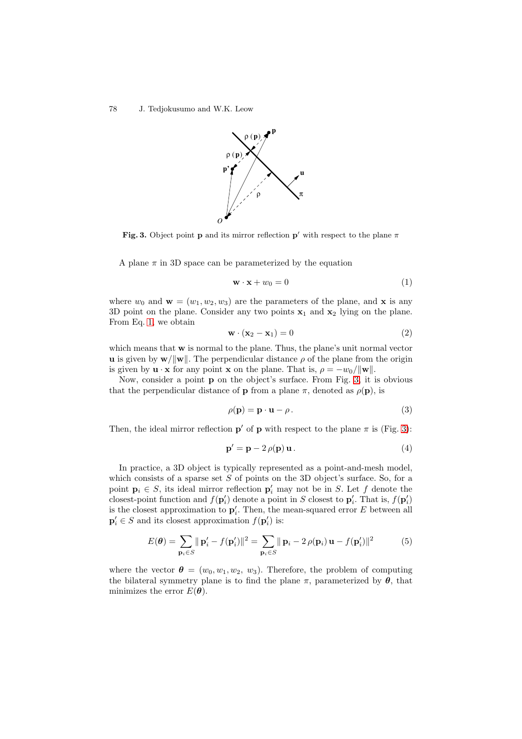

**Fig. 3.** Object point **p** and its mirror reflection **p**<sup> $\prime$ </sup> with respect to the plane  $\pi$ 

A plane  $\pi$  in 3D space can be parameterized by the equation

$$
\mathbf{w} \cdot \mathbf{x} + w_0 = 0 \tag{1}
$$

<span id="page-4-1"></span>where  $w_0$  and  $\mathbf{w} = (w_1, w_2, w_3)$  are the parameters of the plane, and **x** is any 3D point on the plane. Consider any two points **x**<sup>1</sup> and **x**<sup>2</sup> lying on the plane. From Eq. 1, we obtain

<span id="page-4-0"></span>
$$
\mathbf{w} \cdot (\mathbf{x}_2 - \mathbf{x}_1) = 0 \tag{2}
$$

which means that **w** is normal to the plane. Thus, the plane's unit normal vector **u** is given by  $w/||w||$ . The perpendicular distance  $\rho$  of the plane from the origin is given b[y](#page-4-0)  $\mathbf{u} \cdot \mathbf{x}$  for any point **x** on the plane. That is,  $\rho = -w_0/||\mathbf{w}||$ .

Now, consider a point **p** on the object's surface. From Fig. 3, it is obvious that the perpendicular distance of **p** from a plane  $\pi$ , denoted as  $\rho(\mathbf{p})$ , is

$$
\rho(\mathbf{p}) = \mathbf{p} \cdot \mathbf{u} - \rho. \tag{3}
$$

Then, the ideal mirror reflection  $p'$  of  $p$  with respect to the pla[ne](#page-4-1)  $\pi$  is (Fig. 3):

$$
\mathbf{p}' = \mathbf{p} - 2 \rho(\mathbf{p}) \mathbf{u}.
$$
 (4)

In practice, a 3D object is typically represented as a point-and-mesh mo[de](#page-4-1)l, which consists of a sparse set  $S$  of points on the 3D object's surface. So, for a point  $\mathbf{p}_i \in S$ , its ideal mirror reflection  $\mathbf{p}'_i$  may not be in S. Let f denote the closest-point function and  $f(\mathbf{p}'_i)$  denote a point in S closest to  $\mathbf{p}'_i$ . That is,  $f(\mathbf{p}'_i)$ is the closest approximation to  $\mathbf{p}'_i$ . Then, the mean-squared error  $E$  between all  $\mathbf{p}'_i \in S$  and its closest approximation  $f(\mathbf{p}'_i)$  is:

$$
E(\boldsymbol{\theta}) = \sum_{\mathbf{p}_i \in S} ||\mathbf{p}'_i - f(\mathbf{p}'_i)||^2 = \sum_{\mathbf{p}_i \in S} ||\mathbf{p}_i - 2\rho(\mathbf{p}_i)\mathbf{u} - f(\mathbf{p}'_i)||^2
$$
(5)

where the vector  $\theta = (w_0, w_1, w_2, w_3)$ . Therefore, the problem of computing the bilateral symmetry plane is to find the plane  $\pi$ , parameterized by  $\theta$ , that minimizes the error  $E(\boldsymbol{\theta})$ .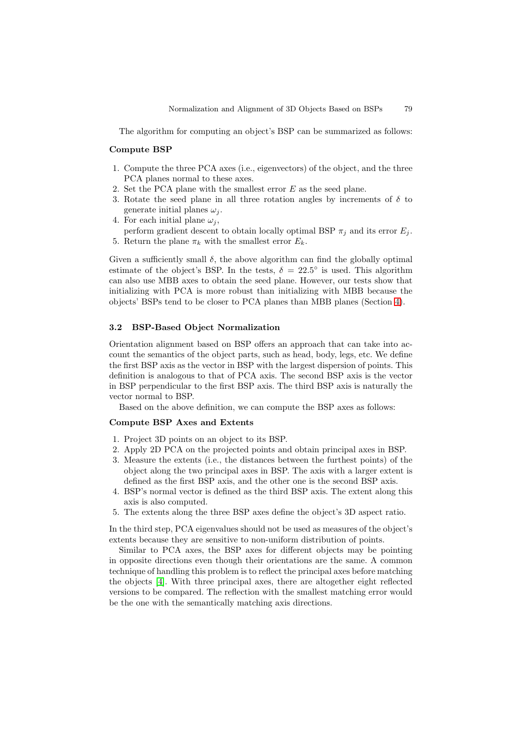The algorithm for computing an object's BSP can be summarized as follows:

### **Compute BSP**

- 1. Compute the three PCA axes (i.e., eigenvectors) of the object, and the three PCA planes normal to these axes.
- 2. Set the PCA plane with the smallest error  $E$  as the seed plane.
- 3. Rotate the seed plane in all three rotation angles by increments of  $\delta$  to generate initial planes  $\omega_i$ .
- 4. For each initial plane  $\omega_i$ ,
- perform gradient descent to obtain locally optimal BSP  $\pi_j$  and its error  $E_j$ .
- 5. Return the plane  $\pi_k$  with the smallest error  $E_k$ .

Given a sufficiently small  $\delta$ , the above algorithm can find the globally optimal estimate of the object's BSP. In the tests,  $\delta = 22.5^{\circ}$  is used. This algorithm can also use MBB axes to obtain the seed plane. However, our tests show that initializing with PCA is more robust than initializing with MBB because the objects' BSPs tend to be closer to PCA planes than MBB planes (Section 4).

## **3.2 BSP-Based Object Normalization**

Orientation alignment based on BSP offers an approach that can take int[o](#page-6-0) account the semantics of the object parts, such as head, body, legs, etc. We define the first BSP axis as the vector in BSP with the largest dispersion of points. This definition is analogous to that of PCA axis. The second BSP axis is the vector in BSP perpendicular to the first BSP axis. The third BSP axis is naturally the vector normal to BSP.

Based on the above definition, we can compute the BSP axes as follows:

## **Compute BSP Axes and Extents**

- 1. Project 3D points on an object to its BSP.
- 2. Apply 2D PCA on the projected points and obtain principal axes in BSP.
- 3. Measure the extents (i.e., the distances between the furthest points) of the object along the two principal axes in BSP. The axis with a larger extent is defined as the first BSP axis, and the other one is the second BSP axis.
- 4. BSP's normal vector is defined as the third BSP axis. The extent along this axis is also computed.
- 5. The extents along the three BSP axes define the object's 3D aspect ratio.

In the third step, PCA eigenvalues should not be used as measures of the object's extents because they are sensitive to non-uniform distribution of points.

Similar to PCA axes, the BSP axes for different objects may be pointing in opposite directions even though their orientations are the same. A common technique of handling this problem is to reflect the principal axes before matching the objects [4]. With three principal axes, there are altogether eight reflected versions to be compared. The reflection with the smallest matching error would be the one with the semantically matching axis directions.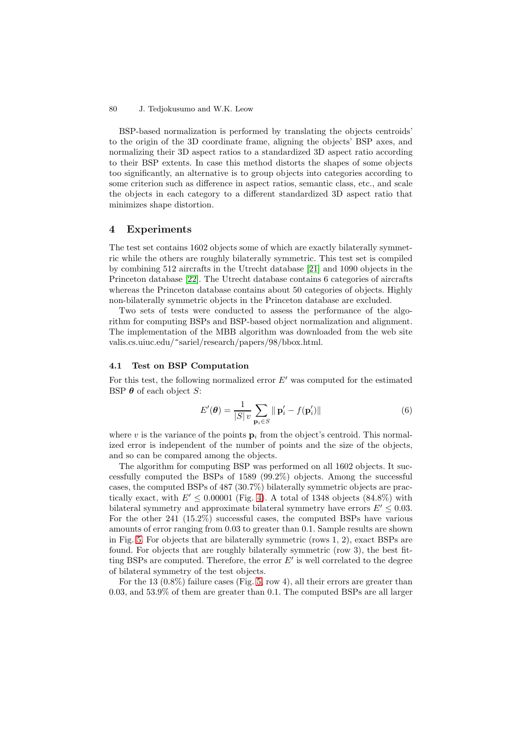#### 80 J. Tedjokusumo and W.K. Leow

BSP-based normalization is performed by translating the objects centroids' to the origin of the 3D coordinate frame, aligning the objects' BSP axes, and normalizing their 3D aspect ratios to a standardized 3D aspect ratio according to their BSP extents. In case this method distorts the shapes of some objects too significantly, an alternative is to group objects into categories according to some criterion such as difference in aspect ratios, semantic class, etc., and scale the objects in each category to a different standardized 3D aspect ratio that minimizes shape distortion.

## **4 Experiments**

<span id="page-6-0"></span>The test set contains 1602 objects some of which are exactly bilaterally symmetric while the others are roughly bilaterally symmetric. This test set is compiled by combining 512 aircrafts in the Utrecht database [21] and 1090 objects in the Princeton database [22]. The Utrecht database contains 6 categories of aircrafts whereas the Princeton database contains about 50 categories of objects. Highly non-bilaterally symmetric objects in the Princeton database are excluded.

Two sets of tests were conducted to assess th[e p](#page-11-13)erformance of the algorithm for computin[g BS](#page-11-14)Ps and BSP-based object normalization and alignment. The implementation of the MBB algorithm was downloaded from the web site valis.cs.uiuc.edu/~sariel/research/papers/98/bbox.html.

#### **4.1 Test on BSP Computation**

For this test, the following normalized error  $E'$  was computed for the estimated BSP  $\theta$  of each object S:

$$
E'(\boldsymbol{\theta}) = \frac{1}{|S| v} \sum_{\mathbf{p}_i \in S} ||\mathbf{p}'_i - f(\mathbf{p}'_i)||
$$
 (6)

where v is the variance of the points  $\mathbf{p}_i$  from the object's centroid. This normalized error is independent of the number of points and the size of the objects, and so can be compared among the objects.

The algorithm for computing BSP was performed on all 1602 objects. It successfully computed the BSPs of 1589 (99.2%) objects. Among the successful cases, the computed BSPs of 487 (30.7%) bilaterally symmetric objects are practically exact, with  $E' \leq 0.00001$  (Fig. 4). A total of 1348 objects (84.8%) with bilateral symmetry and approximate bilateral symmetry have errors  $E' \leq 0.03$ . For the other 241 (15.2%) successful cases, the computed BSPs have various amounts of error ranging from 0.03 to greater than 0.1. Sample results are shown in Fig. 5. For objects that are bilatera[lly](#page-7-0) symmetric (rows 1, 2), exact BSPs are found. For objects that are roughly bilaterally symmetric (row 3), the best fitting BSPs are computed. Therefore, the error  $E'$  is well correlated to the degree of bilateral symmetry of the test objects.

For [th](#page-8-0)e 13 (0.8%) failure cases (Fig. 5, row 4), all their errors are greater than 0.03, and 53.9% of them are greater than 0.1. The computed BSPs are all larger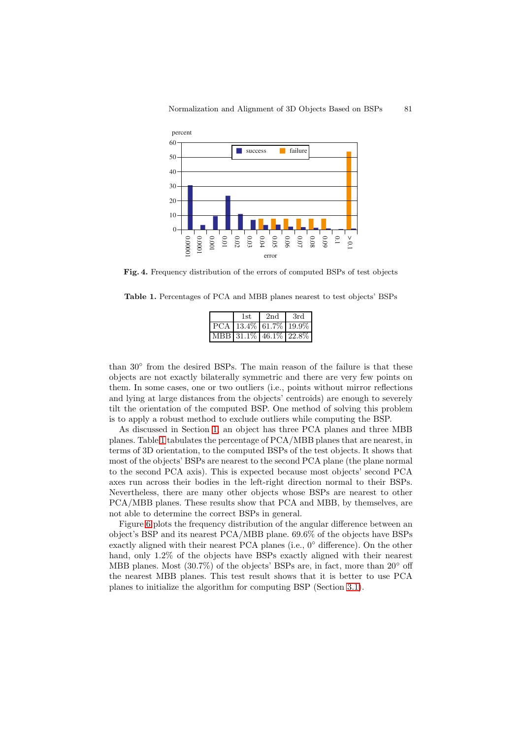

**Fig. 4.** Frequency distribution of the errors of computed BSPs of test objects

| 1st. | 2nd | -3rd                     |
|------|-----|--------------------------|
|      |     | PCA $13.4\%$ 61.7% 19.9% |
|      |     | MBB 31.1\% 46.1\% 22.8\% |

<span id="page-7-0"></span>**Table 1.** Percentages of PCA and MBB planes nearest to test objects' BSPs

<span id="page-7-1"></span>than 30° from the desired BSPs. The main reason of the failure is that these objects are not exactly bilaterally symmetric and there are very few points on them. In some cases, one or two outliers (i.e., points without mirror reflections and lying at large distances from the objects' centroids) are enough to severely tilt the orientation of the computed BSP. One method of solving this problem is to apply a robust method to exclude outliers while computing the BSP.

As discussed in Section 1, an object has three PCA planes and three MBB planes. Table 1 tabulates the percentage of PCA/MBB planes that are nearest, in terms of 3D orientation, to the computed BSPs of the test objects. It shows that most of the objects' BSPs are nearest to the second PCA plane (the plane normal to the second PCA axis). [Th](#page-0-0)is is expected because most objects' second PCA axes run acr[os](#page-7-1)s their bodies in the left-right direction normal to their BSPs. Nevertheless, there are many other objects whose BSPs are nearest to other PCA/MBB planes. These results show that PCA and MBB, by themselves, are not able to determine the correct BSPs in general.

Figure 6 plots the frequency distribution of the angular difference between an object's BSP and its nearest PCA/MBB plane. 69.6% of the objects have BSPs exactly aligned with their nearest PCA planes (i.e., 0° difference). On the other hand, only 1.2% of the objects have BSPs exactly aligned with their nearest MBB pla[ne](#page-9-1)s. Most  $(30.7\%)$  of the objects' BSPs are, in fact, more than 20 $\degree$  off the nearest MBB planes. This test result shows that it is better to use PCA planes to initialize the algorithm for computing BSP (Section 3.1).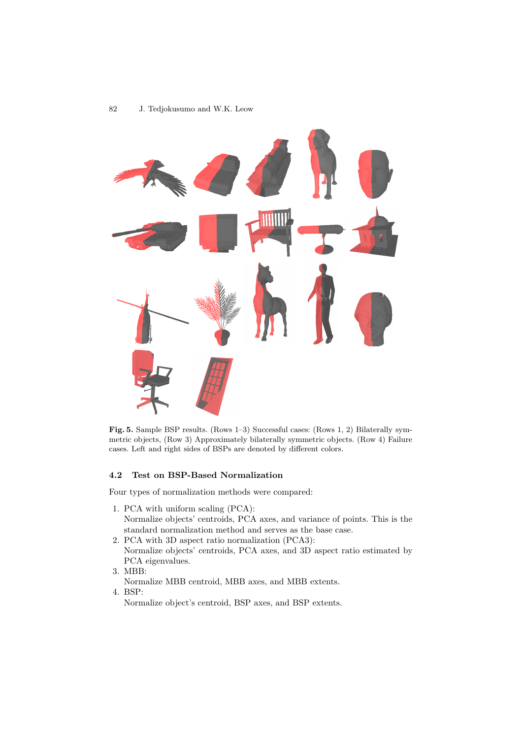

Fig. 5. Sample BSP results. (Rows 1–3) Successful cases: (Rows 1, 2) Bilaterally symmetric objects, (Row 3) Approximately bilaterally symmetric objects. (Row 4) Failure cases. Left and right sides of BSPs are denoted by different colors.

## <span id="page-8-0"></span>**4.2 Test on BSP-Based Normalization**

Four types of normalization methods were compared:

- 1. PCA with uniform scaling (PCA): Normalize objects' centroids, PCA axes, and variance of points. This is the standard normalization method and serves as the base case.
- 2. PCA with 3D aspect ratio normalization (PCA3): Normalize objects' centroids, PCA axes, and 3D aspect ratio estimated by PCA eigenvalues.
- 3. MBB:

Normalize MBB centroid, MBB axes, and MBB extents.

4. BSP:

Normalize object's centroid, BSP axes, and BSP extents.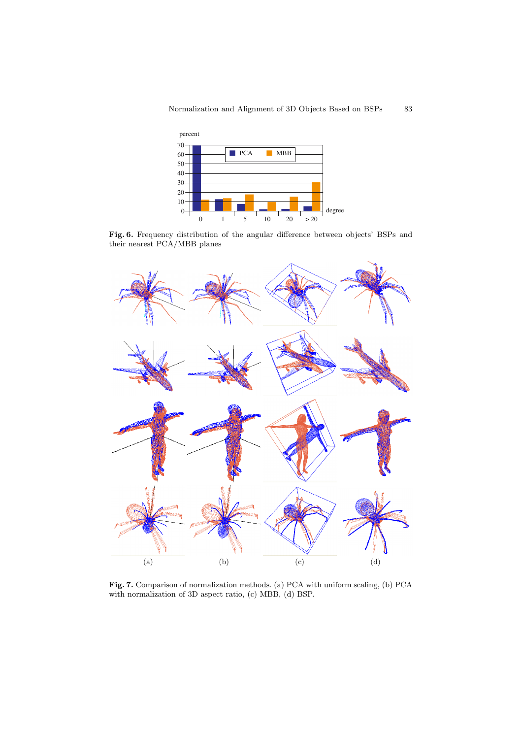

**Fig. 6.** Frequency distribution of the angular difference between objects' BSPs and their nearest PCA/MBB planes

<span id="page-9-1"></span>

<span id="page-9-0"></span>**Fig. 7.** Comparison of normalization methods. (a) PCA with uniform scaling, (b) PCA with normalization of 3D aspect ratio, (c) MBB, (d) BSP.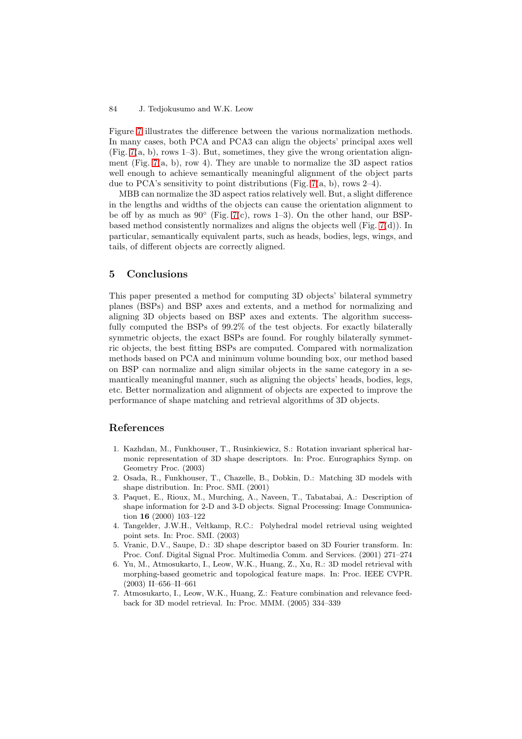#### 84 J. Tedjokusumo and W.K. Leow

Figure 7 illustrates the difference between the various normalization methods. In many cases, both PCA and PCA3 can align the objects' principal axes well (Fig. 7(a, b), rows 1–3). But, sometimes, they give the wrong orientation alignment (Fig.  $7(a, b)$ , row 4). They are unable to normalize the 3D aspect ratios well e[nou](#page-9-0)gh to achieve semantically meaningful alignment of the object parts due to PCA's sensitivity to point distributions (Fig. 7(a, b), rows  $2-4$ ).

M[BB](#page-9-0) can normalize the 3D aspect ratios relatively well. But, a slight difference in the leng[ths](#page-9-0) and widths of the objects can cause the orientation alignment to be off by as much as  $90^{\circ}$  (Fig. 7(c), rows 1–3). On the other hand, our BSPbased method consistently normalizes and aligns the [ob](#page-9-0)jects well (Fig. 7(d)). In particular, semantically equivalent parts, such as heads, bodies, legs, wings, and tails, of different objects are correctly aligned.

## **5 Conclusions**

This paper presented a method for computing 3D objects' bilateral symmetry planes (BSPs) and BSP axes and extents, and a method for normalizing and aligning 3D objects based on BSP axes and extents. The algorithm successfully computed the BSPs of 99.2% of the test objects. For exactly bilaterally symmetric objects, the exact BSPs are found. For roughly bilaterally symmetric objects, the best fitting BSPs are computed. Compared with normalization methods based on PCA and minimum volume bounding box, our method based on BSP can normalize and align similar objects in the same category in a semantically meaningful manner, such as aligning the objects' heads, bodies, legs, etc. Better normalization and alignment of objects are expected to improve the performance of shape matching and retrieval algorithms of 3D objects.

### **References**

- 1. Kazhdan, M., Funkhouser, T., Rusinkiewicz, S.: Rotation invariant spherical harmonic representation of 3D shape descriptors. In: Proc. Eurographics Symp. on Geometry Proc. (2003)
- <span id="page-10-0"></span>2. Osada, R., Funkhouser, T., Chazelle, B., Dobkin, D.: Matching 3D models with shape distribution. In: Proc. SMI. (2001)
- 3. Paquet, E., Rioux, M., Murching, A., Naveen, T., Tabatabai, A.: Description of shape information for 2-D and 3-D objects. Signal Processing: Image Communication **16** (2000) 103–122
- <span id="page-10-2"></span><span id="page-10-1"></span>4. Tangelder, J.W.H., Veltkamp, R.C.: Polyhedral model retrieval using weighted point sets. In: Proc. SMI. (2003)
- 5. Vranic, D.V., Saupe, D.: 3D shape descriptor based on 3D Fourier transform. In: Proc. Conf. Digital Signal Proc. Multimedia Comm. and Services. (2001) 271–274
- <span id="page-10-3"></span>6. Yu, M., Atmosukarto, I., Leow, W.K., Huang, Z., Xu, R.: 3D model retrieval with morphing-based geometric and topological feature maps. In: Proc. IEEE CVPR. (2003) II–656–II–661
- <span id="page-10-6"></span><span id="page-10-5"></span><span id="page-10-4"></span>7. Atmosukarto, I., Leow, W.K., Huang, Z.: Feature combination and relevance feedback for 3D model retrieval. In: Proc. MMM. (2005) 334–339